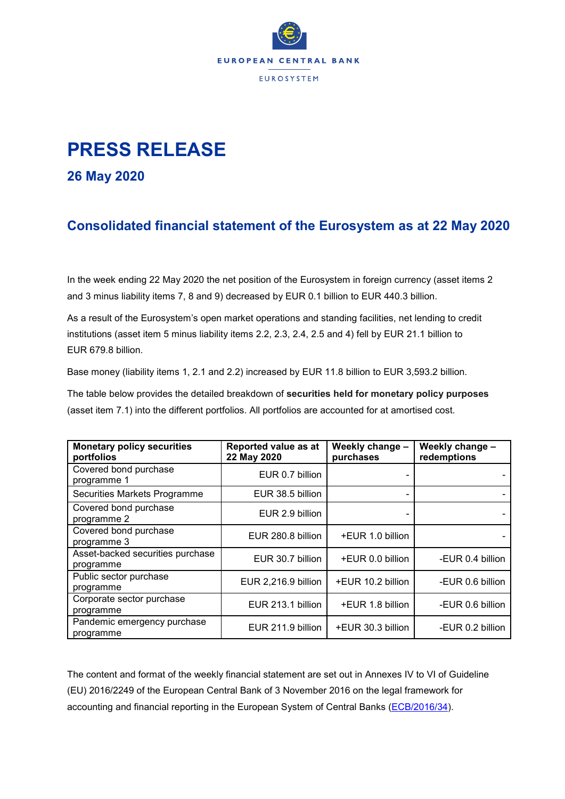

## **PRESS RELEASE**

**26 May 2020**

## **Consolidated financial statement of the Eurosystem as at 22 May 2020**

In the week ending 22 May 2020 the net position of the Eurosystem in foreign currency (asset items 2 and 3 minus liability items 7, 8 and 9) decreased by EUR 0.1 billion to EUR 440.3 billion.

As a result of the Eurosystem's open market operations and standing facilities, net lending to credit institutions (asset item 5 minus liability items 2.2, 2.3, 2.4, 2.5 and 4) fell by EUR 21.1 billion to EUR 679.8 billion.

Base money (liability items 1, 2.1 and 2.2) increased by EUR 11.8 billion to EUR 3,593.2 billion.

The table below provides the detailed breakdown of **securities held for monetary policy purposes** (asset item 7.1) into the different portfolios. All portfolios are accounted for at amortised cost.

| <b>Monetary policy securities</b><br>portfolios | Reported value as at<br>22 May 2020 | Weekly change -<br>purchases | Weekly change -<br>redemptions |
|-------------------------------------------------|-------------------------------------|------------------------------|--------------------------------|
| Covered bond purchase<br>programme 1            | EUR 0.7 billion                     |                              |                                |
| Securities Markets Programme                    | EUR 38.5 billion                    |                              |                                |
| Covered bond purchase<br>programme 2            | EUR 2.9 billion                     |                              |                                |
| Covered bond purchase<br>programme 3            | EUR 280.8 billion                   | +EUR 1.0 billion             |                                |
| Asset-backed securities purchase<br>programme   | EUR 30.7 billion                    | +EUR 0.0 billion             | -EUR 0.4 billion               |
| Public sector purchase<br>programme             | EUR 2,216.9 billion                 | +EUR 10.2 billion            | -EUR 0.6 billion               |
| Corporate sector purchase<br>programme          | EUR 213.1 billion                   | +EUR 1.8 billion             | -EUR 0.6 billion               |
| Pandemic emergency purchase<br>programme        | EUR 211.9 billion                   | +EUR 30.3 billion            | -EUR 0.2 billion               |

The content and format of the weekly financial statement are set out in Annexes IV to VI of Guideline (EU) 2016/2249 of the European Central Bank of 3 November 2016 on the legal framework for accounting and financial reporting in the European System of Central Banks [\(ECB/2016/34\)](http://www.ecb.europa.eu/ecb/legal/1001/1012/html/index.en.html).